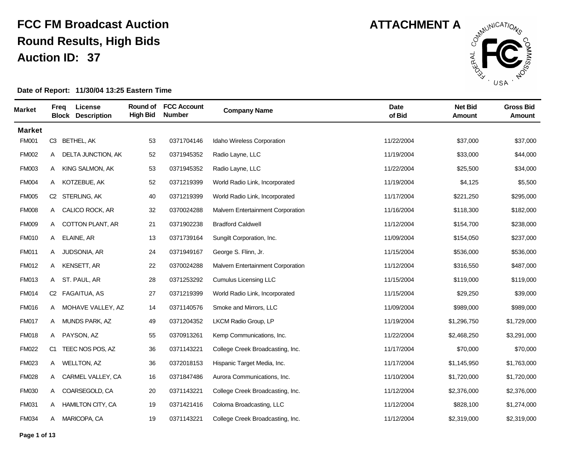

| <b>Market</b> | Freg | License<br><b>Block Description</b> | Round of<br><b>High Bid</b> | <b>FCC Account</b><br><b>Number</b> | <b>Company Name</b>                      | <b>Date</b><br>of Bid | <b>Net Bid</b><br>Amount | <b>Gross Bid</b><br><b>Amount</b> |
|---------------|------|-------------------------------------|-----------------------------|-------------------------------------|------------------------------------------|-----------------------|--------------------------|-----------------------------------|
| <b>Market</b> |      |                                     |                             |                                     |                                          |                       |                          |                                   |
| <b>FM001</b>  |      | C3 BETHEL, AK                       | 53                          | 0371704146                          | Idaho Wireless Corporation               | 11/22/2004            | \$37,000                 | \$37,000                          |
| <b>FM002</b>  | A    | DELTA JUNCTION, AK                  | 52                          | 0371945352                          | Radio Layne, LLC                         | 11/19/2004            | \$33,000                 | \$44,000                          |
| <b>FM003</b>  | A    | KING SALMON, AK                     | 53                          | 0371945352                          | Radio Layne, LLC                         | 11/22/2004            | \$25,500                 | \$34,000                          |
| <b>FM004</b>  |      | A KOTZEBUE, AK                      | 52                          | 0371219399                          | World Radio Link, Incorporated           | 11/19/2004            | \$4,125                  | \$5,500                           |
| <b>FM005</b>  |      | C2 STERLING, AK                     | 40                          | 0371219399                          | World Radio Link, Incorporated           | 11/17/2004            | \$221,250                | \$295,000                         |
| <b>FM008</b>  |      | A CALICO ROCK, AR                   | 32                          | 0370024288                          | <b>Malvern Entertainment Corporation</b> | 11/16/2004            | \$118,300                | \$182,000                         |
| <b>FM009</b>  | A    | <b>COTTON PLANT, AR</b>             | 21                          | 0371902238                          | <b>Bradford Caldwell</b>                 | 11/12/2004            | \$154,700                | \$238,000                         |
| <b>FM010</b>  | A    | ELAINE, AR                          | 13                          | 0371739164                          | Sungilt Corporation, Inc.                | 11/09/2004            | \$154,050                | \$237,000                         |
| <b>FM011</b>  | A    | JUDSONIA, AR                        | 24                          | 0371949167                          | George S. Flinn, Jr.                     | 11/15/2004            | \$536,000                | \$536,000                         |
| <b>FM012</b>  |      | A KENSETT, AR                       | 22                          | 0370024288                          | <b>Malvern Entertainment Corporation</b> | 11/12/2004            | \$316,550                | \$487,000                         |
| <b>FM013</b>  |      | A ST. PAUL, AR                      | 28                          | 0371253292                          | <b>Cumulus Licensing LLC</b>             | 11/15/2004            | \$119,000                | \$119,000                         |
| <b>FM014</b>  |      | C2 FAGAITUA, AS                     | 27                          | 0371219399                          | World Radio Link, Incorporated           | 11/15/2004            | \$29,250                 | \$39,000                          |
| <b>FM016</b>  | A    | MOHAVE VALLEY, AZ                   | 14                          | 0371140576                          | Smoke and Mirrors, LLC                   | 11/09/2004            | \$989,000                | \$989,000                         |
| <b>FM017</b>  | A    | MUNDS PARK, AZ                      | 49                          | 0371204352                          | LKCM Radio Group, LP                     | 11/19/2004            | \$1,296,750              | \$1,729,000                       |
| <b>FM018</b>  | A    | PAYSON, AZ                          | 55                          | 0370913261                          | Kemp Communications, Inc.                | 11/22/2004            | \$2,468,250              | \$3,291,000                       |
| <b>FM022</b>  | C1   | TEEC NOS POS, AZ                    | 36                          | 0371143221                          | College Creek Broadcasting, Inc.         | 11/17/2004            | \$70,000                 | \$70,000                          |
| <b>FM023</b>  |      | A WELLTON, AZ                       | 36                          | 0372018153                          | Hispanic Target Media, Inc.              | 11/17/2004            | \$1,145,950              | \$1,763,000                       |
| <b>FM028</b>  | A    | CARMEL VALLEY, CA                   | 16                          | 0371847486                          | Aurora Communications, Inc.              | 11/10/2004            | \$1,720,000              | \$1,720,000                       |
| <b>FM030</b>  | A    | COARSEGOLD, CA                      | 20                          | 0371143221                          | College Creek Broadcasting, Inc.         | 11/12/2004            | \$2,376,000              | \$2,376,000                       |
| <b>FM031</b>  | A    | <b>HAMILTON CITY, CA</b>            | 19                          | 0371421416                          | Coloma Broadcasting, LLC                 | 11/12/2004            | \$828,100                | \$1,274,000                       |
| <b>FM034</b>  |      | A MARICOPA, CA                      | 19                          | 0371143221                          | College Creek Broadcasting, Inc.         | 11/12/2004            | \$2,319,000              | \$2,319,000                       |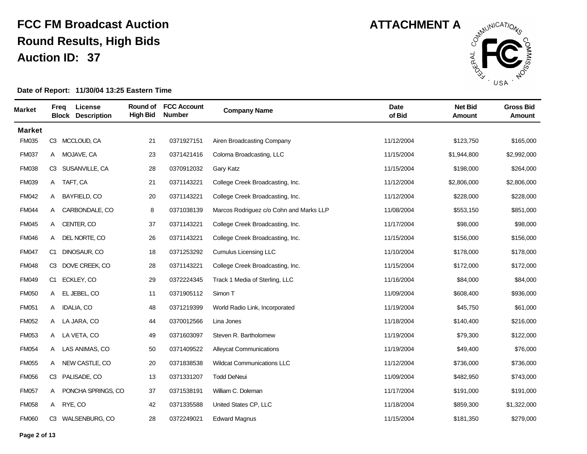

| <b>Market</b> | Freq | License<br><b>Block Description</b> | Round of<br><b>High Bid</b> | <b>FCC Account</b><br><b>Number</b> | <b>Company Name</b>                     | <b>Date</b><br>of Bid | <b>Net Bid</b><br>Amount | <b>Gross Bid</b><br><b>Amount</b> |
|---------------|------|-------------------------------------|-----------------------------|-------------------------------------|-----------------------------------------|-----------------------|--------------------------|-----------------------------------|
| <b>Market</b> |      |                                     |                             |                                     |                                         |                       |                          |                                   |
| <b>FM035</b>  |      | C3 MCCLOUD, CA                      | 21                          | 0371927151                          | Airen Broadcasting Company              | 11/12/2004            | \$123,750                | \$165,000                         |
| <b>FM037</b>  | A    | MOJAVE, CA                          | 23                          | 0371421416                          | Coloma Broadcasting, LLC                | 11/15/2004            | \$1,944,800              | \$2,992,000                       |
| <b>FM038</b>  | C3   | SUSANVILLE, CA                      | 28                          | 0370912032                          | Gary Katz                               | 11/15/2004            | \$198,000                | \$264,000                         |
| <b>FM039</b>  |      | A TAFT, CA                          | 21                          | 0371143221                          | College Creek Broadcasting, Inc.        | 11/12/2004            | \$2,806,000              | \$2,806,000                       |
| <b>FM042</b>  | A    | BAYFIELD, CO                        | 20                          | 0371143221                          | College Creek Broadcasting, Inc.        | 11/12/2004            | \$228,000                | \$228,000                         |
| <b>FM044</b>  |      | A CARBONDALE, CO                    | 8                           | 0371038139                          | Marcos Rodriguez c/o Cohn and Marks LLP | 11/08/2004            | \$553,150                | \$851,000                         |
| <b>FM045</b>  | A    | CENTER, CO                          | 37                          | 0371143221                          | College Creek Broadcasting, Inc.        | 11/17/2004            | \$98,000                 | \$98,000                          |
| <b>FM046</b>  | A    | DEL NORTE, CO                       | $26\,$                      | 0371143221                          | College Creek Broadcasting, Inc.        | 11/15/2004            | \$156,000                | \$156,000                         |
| <b>FM047</b>  | C1   | DINOSAUR, CO                        | 18                          | 0371253292                          | <b>Cumulus Licensing LLC</b>            | 11/10/2004            | \$178,000                | \$178,000                         |
| <b>FM048</b>  | C3   | DOVE CREEK, CO                      | 28                          | 0371143221                          | College Creek Broadcasting, Inc.        | 11/15/2004            | \$172,000                | \$172,000                         |
| <b>FM049</b>  | C1   | ECKLEY, CO                          | 29                          | 0372224345                          | Track 1 Media of Sterling, LLC          | 11/16/2004            | \$84,000                 | \$84,000                          |
| <b>FM050</b>  | A    | EL JEBEL, CO                        | 11                          | 0371905112                          | Simon T                                 | 11/09/2004            | \$608,400                | \$936,000                         |
| <b>FM051</b>  | A    | <b>IDALIA, CO</b>                   | 48                          | 0371219399                          | World Radio Link, Incorporated          | 11/19/2004            | \$45,750                 | \$61,000                          |
| <b>FM052</b>  |      | A LA JARA, CO                       | 44                          | 0370012566                          | Lina Jones                              | 11/18/2004            | \$140,400                | \$216,000                         |
| <b>FM053</b>  |      | A LA VETA, CO                       | 49                          | 0371603097                          | Steven R. Bartholomew                   | 11/19/2004            | \$79,300                 | \$122,000                         |
| <b>FM054</b>  |      | A LAS ANIMAS, CO                    | 50                          | 0371409522                          | <b>Alleycat Communications</b>          | 11/19/2004            | \$49,400                 | \$76,000                          |
| <b>FM055</b>  | A    | NEW CASTLE, CO                      | 20                          | 0371838538                          | <b>Wildcat Communications LLC</b>       | 11/12/2004            | \$736,000                | \$736,000                         |
| <b>FM056</b>  | C3   | PALISADE, CO                        | 13                          | 0371331207                          | <b>Todd DeNeui</b>                      | 11/09/2004            | \$482,950                | \$743,000                         |
| <b>FM057</b>  | A    | PONCHA SPRINGS, CO                  | 37                          | 0371538191                          | William C. Doleman                      | 11/17/2004            | \$191,000                | \$191,000                         |
| <b>FM058</b>  |      | A RYE, CO                           | 42                          | 0371335588                          | United States CP, LLC                   | 11/18/2004            | \$859,300                | \$1,322,000                       |
| <b>FM060</b>  |      | C3 WALSENBURG, CO                   | 28                          | 0372249021                          | <b>Edward Magnus</b>                    | 11/15/2004            | \$181,350                | \$279,000                         |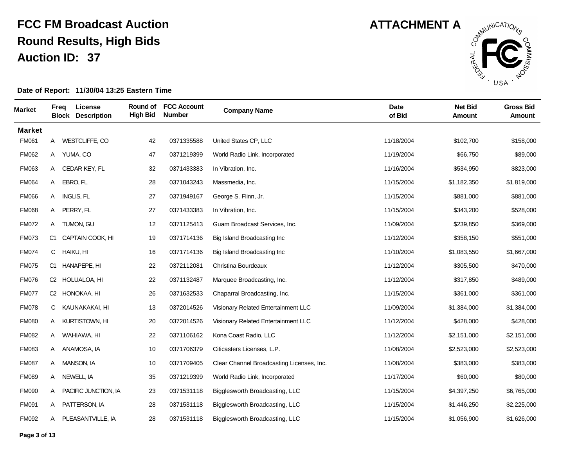

| <b>Market</b> |              | Freg      | License<br><b>Block Description</b> | Round of<br><b>High Bid</b> | <b>FCC Account</b><br><b>Number</b> | <b>Company Name</b>                       | Date<br>of Bid | <b>Net Bid</b><br><b>Amount</b> | <b>Gross Bid</b><br><b>Amount</b> |
|---------------|--------------|-----------|-------------------------------------|-----------------------------|-------------------------------------|-------------------------------------------|----------------|---------------------------------|-----------------------------------|
| <b>Market</b> |              |           |                                     |                             |                                     |                                           |                |                                 |                                   |
| <b>FM061</b>  |              |           | A WESTCLIFFE, CO                    | 42                          | 0371335588                          | United States CP, LLC                     | 11/18/2004     | \$102,700                       | \$158,000                         |
| <b>FM062</b>  | A            |           | YUMA, CO                            | 47                          | 0371219399                          | World Radio Link, Incorporated            | 11/19/2004     | \$66,750                        | \$89,000                          |
| FM063         | A            |           | CEDAR KEY, FL                       | 32                          | 0371433383                          | In Vibration, Inc.                        | 11/16/2004     | \$534,950                       | \$823,000                         |
| <b>FM064</b>  | A            | EBRO, FL  |                                     | 28                          | 0371043243                          | Massmedia, Inc.                           | 11/15/2004     | \$1,182,350                     | \$1,819,000                       |
| <b>FM066</b>  | A            |           | <b>INGLIS, FL</b>                   | 27                          | 0371949167                          | George S. Flinn, Jr.                      | 11/15/2004     | \$881,000                       | \$881,000                         |
| <b>FM068</b>  |              |           | A PERRY, FL                         | 27                          | 0371433383                          | In Vibration, Inc.                        | 11/15/2004     | \$343,200                       | \$528,000                         |
| <b>FM072</b>  | A            |           | TUMON, GU                           | 12                          | 0371125413                          | Guam Broadcast Services, Inc.             | 11/09/2004     | \$239,850                       | \$369,000                         |
| <b>FM073</b>  | C1           |           | CAPTAIN COOK, HI                    | 19                          | 0371714136                          | Big Island Broadcasting Inc               | 11/12/2004     | \$358,150                       | \$551,000                         |
| <b>FM074</b>  | $\mathsf{C}$ | HAIKU, HI |                                     | 16                          | 0371714136                          | Big Island Broadcasting Inc               | 11/10/2004     | \$1,083,550                     | \$1,667,000                       |
| <b>FM075</b>  |              |           | C1 HANAPEPE, HI                     | 22                          | 0372112081                          | Christina Bourdeaux                       | 11/12/2004     | \$305,500                       | \$470,000                         |
| <b>FM076</b>  |              |           | C2 HOLUALOA, HI                     | 22                          | 0371132487                          | Marquee Broadcasting, Inc.                | 11/12/2004     | \$317,850                       | \$489,000                         |
| <b>FM077</b>  |              |           | C <sub>2</sub> HONOKAA, HI          | 26                          | 0371632533                          | Chaparral Broadcasting, Inc.              | 11/15/2004     | \$361,000                       | \$361,000                         |
| <b>FM078</b>  | C            |           | KAUNAKAKAI, HI                      | 13                          | 0372014526                          | Visionary Related Entertainment LLC       | 11/09/2004     | \$1,384,000                     | \$1,384,000                       |
| <b>FM080</b>  | A            |           | KURTISTOWN, HI                      | 20                          | 0372014526                          | Visionary Related Entertainment LLC       | 11/12/2004     | \$428,000                       | \$428,000                         |
| <b>FM082</b>  | A            |           | WAHIAWA, HI                         | 22                          | 0371106162                          | Kona Coast Radio, LLC                     | 11/12/2004     | \$2,151,000                     | \$2,151,000                       |
| <b>FM083</b>  |              |           | A ANAMOSA, IA                       | 10                          | 0371706379                          | Citicasters Licenses, L.P.                | 11/08/2004     | \$2,523,000                     | \$2,523,000                       |
| <b>FM087</b>  | A            |           | <b>MANSON, IA</b>                   | 10                          | 0371709405                          | Clear Channel Broadcasting Licenses, Inc. | 11/08/2004     | \$383,000                       | \$383,000                         |
| <b>FM089</b>  | A            |           | NEWELL, IA                          | 35                          | 0371219399                          | World Radio Link, Incorporated            | 11/17/2004     | \$60,000                        | \$80,000                          |
| <b>FM090</b>  | A            |           | PACIFIC JUNCTION, IA                | 23                          | 0371531118                          | Bigglesworth Broadcasting, LLC            | 11/15/2004     | \$4,397,250                     | \$6,765,000                       |
| <b>FM091</b>  | A            |           | PATTERSON, IA                       | 28                          | 0371531118                          | Bigglesworth Broadcasting, LLC            | 11/15/2004     | \$1,446,250                     | \$2,225,000                       |
| <b>FM092</b>  |              |           | A PLEASANTVILLE, IA                 | 28                          | 0371531118                          | Bigglesworth Broadcasting, LLC            | 11/15/2004     | \$1,056,900                     | \$1,626,000                       |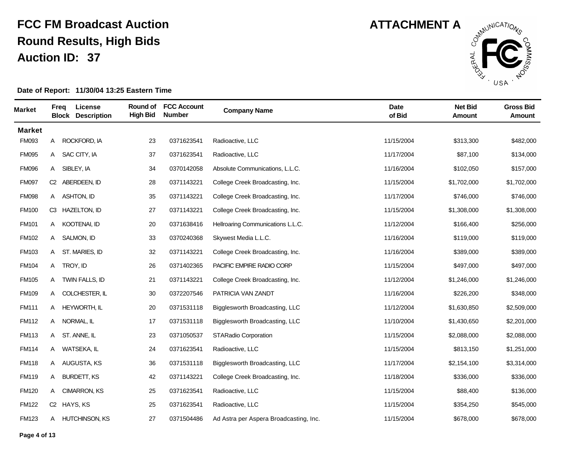

| <b>Market</b> | Freg | License<br><b>Block Description</b> | Round of<br><b>High Bid</b> | <b>FCC Account</b><br><b>Number</b> | <b>Company Name</b>                    | <b>Date</b><br>of Bid | <b>Net Bid</b><br>Amount | <b>Gross Bid</b><br><b>Amount</b> |
|---------------|------|-------------------------------------|-----------------------------|-------------------------------------|----------------------------------------|-----------------------|--------------------------|-----------------------------------|
| <b>Market</b> |      |                                     |                             |                                     |                                        |                       |                          |                                   |
| <b>FM093</b>  | A    | ROCKFORD, IA                        | 23                          | 0371623541                          | Radioactive, LLC                       | 11/15/2004            | \$313,300                | \$482,000                         |
| <b>FM095</b>  |      | A SAC CITY, IA                      | 37                          | 0371623541                          | Radioactive, LLC                       | 11/17/2004            | \$87,100                 | \$134,000                         |
| <b>FM096</b>  | A    | SIBLEY, IA                          | 34                          | 0370142058                          | Absolute Communications, L.L.C.        | 11/16/2004            | \$102,050                | \$157,000                         |
| <b>FM097</b>  |      | C2 ABERDEEN, ID                     | 28                          | 0371143221                          | College Creek Broadcasting, Inc.       | 11/15/2004            | \$1,702,000              | \$1,702,000                       |
| <b>FM098</b>  |      | A ASHTON, ID                        | 35                          | 0371143221                          | College Creek Broadcasting, Inc.       | 11/17/2004            | \$746,000                | \$746,000                         |
| <b>FM100</b>  |      | C3 HAZELTON, ID                     | 27                          | 0371143221                          | College Creek Broadcasting, Inc.       | 11/15/2004            | \$1,308,000              | \$1,308,000                       |
| <b>FM101</b>  | A    | KOOTENAI, ID                        | 20                          | 0371638416                          | Hellroaring Communications L.L.C.      | 11/12/2004            | \$166,400                | \$256,000                         |
| <b>FM102</b>  | A    | SALMON, ID                          | 33                          | 0370240368                          | Skywest Media L.L.C.                   | 11/16/2004            | \$119,000                | \$119,000                         |
| FM103         | A    | ST. MARIES, ID                      | 32                          | 0371143221                          | College Creek Broadcasting, Inc.       | 11/16/2004            | \$389,000                | \$389,000                         |
| <b>FM104</b>  |      | A TROY, ID                          | 26                          | 0371402365                          | PACIFIC EMPIRE RADIO CORP              | 11/15/2004            | \$497,000                | \$497,000                         |
| <b>FM105</b>  |      | A TWIN FALLS, ID                    | 21                          | 0371143221                          | College Creek Broadcasting, Inc.       | 11/12/2004            | \$1,246,000              | \$1,246,000                       |
| <b>FM109</b>  |      | A COLCHESTER, IL                    | 30                          | 0372207546                          | PATRICIA VAN ZANDT                     | 11/16/2004            | \$226,200                | \$348,000                         |
| <b>FM111</b>  | A    | HEYWORTH, IL                        | 20                          | 0371531118                          | Bigglesworth Broadcasting, LLC         | 11/12/2004            | \$1,630,850              | \$2,509,000                       |
| <b>FM112</b>  |      | A NORMAL, IL                        | 17                          | 0371531118                          | Bigglesworth Broadcasting, LLC         | 11/10/2004            | \$1,430,650              | \$2,201,000                       |
| <b>FM113</b>  |      | A ST. ANNE, IL                      | 23                          | 0371050537                          | <b>STARadio Corporation</b>            | 11/15/2004            | \$2,088,000              | \$2,088,000                       |
| <b>FM114</b>  |      | A WATSEKA, IL                       | 24                          | 0371623541                          | Radioactive, LLC                       | 11/15/2004            | \$813,150                | \$1,251,000                       |
| <b>FM118</b>  |      | A AUGUSTA, KS                       | 36                          | 0371531118                          | Bigglesworth Broadcasting, LLC         | 11/17/2004            | \$2,154,100              | \$3,314,000                       |
| <b>FM119</b>  | A    | <b>BURDETT, KS</b>                  | 42                          | 0371143221                          | College Creek Broadcasting, Inc.       | 11/18/2004            | \$336,000                | \$336,000                         |
| <b>FM120</b>  | A    | CIMARRON, KS                        | 25                          | 0371623541                          | Radioactive, LLC                       | 11/15/2004            | \$88,400                 | \$136,000                         |
| <b>FM122</b>  |      | C <sub>2</sub> HAYS, KS             | 25                          | 0371623541                          | Radioactive, LLC                       | 11/15/2004            | \$354,250                | \$545,000                         |
| <b>FM123</b>  |      | A HUTCHINSON, KS                    | 27                          | 0371504486                          | Ad Astra per Aspera Broadcasting, Inc. | 11/15/2004            | \$678,000                | \$678,000                         |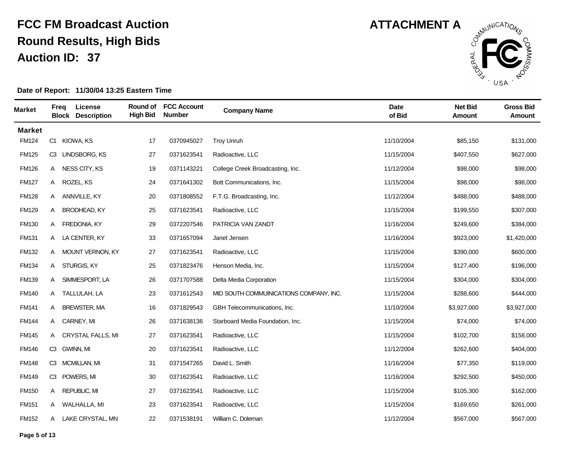

| <b>Market</b> | Freg           | License<br><b>Block Description</b> | Round of<br><b>High Bid</b> | <b>FCC Account</b><br><b>Number</b> | <b>Company Name</b>                     | <b>Date</b><br>of Bid | <b>Net Bid</b><br>Amount | <b>Gross Bid</b><br>Amount |
|---------------|----------------|-------------------------------------|-----------------------------|-------------------------------------|-----------------------------------------|-----------------------|--------------------------|----------------------------|
| <b>Market</b> |                |                                     |                             |                                     |                                         |                       |                          |                            |
| <b>FM124</b>  |                | C1 KIOWA, KS                        | 17                          | 0370945027                          | <b>Troy Unruh</b>                       | 11/10/2004            | \$85,150                 | \$131,000                  |
| <b>FM125</b>  |                | C3 LINDSBORG, KS                    | 27                          | 0371623541                          | Radioactive, LLC                        | 11/15/2004            | \$407,550                | \$627,000                  |
| <b>FM126</b>  | A              | NESS CITY, KS                       | 19                          | 0371143221                          | College Creek Broadcasting, Inc.        | 11/12/2004            | \$98,000                 | \$98,000                   |
| <b>FM127</b>  |                | A ROZEL, KS                         | 24                          | 0371641302                          | Bott Communications, Inc.               | 11/15/2004            | \$98,000                 | \$98,000                   |
| <b>FM128</b>  |                | A ANNVILLE, KY                      | 20                          | 0371808552                          | F.T.G. Broadcasting, Inc.               | 11/12/2004            | \$488,000                | \$488,000                  |
| <b>FM129</b>  | A              | <b>BRODHEAD, KY</b>                 | 25                          | 0371623541                          | Radioactive, LLC                        | 11/15/2004            | \$199,550                | \$307,000                  |
| <b>FM130</b>  | A              | FREDONIA, KY                        | 29                          | 0372207546                          | PATRICIA VAN ZANDT                      | 11/16/2004            | \$249,600                | \$384,000                  |
| <b>FM131</b>  | A              | LA CENTER, KY                       | 33                          | 0371657094                          | Janet Jensen                            | 11/16/2004            | \$923,000                | \$1,420,000                |
| FM132         |                | A MOUNT VERNON, KY                  | 27                          | 0371623541                          | Radioactive, LLC                        | 11/15/2004            | \$390,000                | \$600,000                  |
| <b>FM134</b>  |                | A STURGIS, KY                       | 25                          | 0371823476                          | Henson Media, Inc.                      | 11/15/2004            | \$127,400                | \$196,000                  |
| <b>FM139</b>  |                | A SIMMESPORT, LA                    | 26                          | 0371707588                          | Delta Media Corporation                 | 11/15/2004            | \$304,000                | \$304,000                  |
| <b>FM140</b>  |                | A TALLULAH, LA                      | 23                          | 0371612543                          | MID SOUTH COMMUINICATIONS COMPANY, INC. | 11/15/2004            | \$288,600                | \$444,000                  |
| <b>FM141</b>  | A              | <b>BREWSTER, MA</b>                 | 16                          | 0371829543                          | GBH Telecommunications, Inc.            | 11/10/2004            | \$3,927,000              | \$3,927,000                |
| <b>FM144</b>  |                | A CARNEY, MI                        | 26                          | 0371638136                          | Starboard Media Foundation, Inc.        | 11/15/2004            | \$74,000                 | \$74,000                   |
| <b>FM145</b>  |                | A CRYSTAL FALLS, MI                 | 27                          | 0371623541                          | Radioactive, LLC                        | 11/15/2004            | \$102,700                | \$158,000                  |
| <b>FM146</b>  |                | C3 GWINN, MI                        | 20                          | 0371623541                          | Radioactive, LLC                        | 11/12/2004            | \$262,600                | \$404,000                  |
| <b>FM148</b>  | C <sub>3</sub> | MCMILLAN, MI                        | 31                          | 0371547265                          | David L. Smith                          | 11/16/2004            | \$77,350                 | \$119,000                  |
| <b>FM149</b>  | C3             | POWERS, MI                          | 30                          | 0371623541                          | Radioactive, LLC                        | 11/16/2004            | \$292,500                | \$450,000                  |
| <b>FM150</b>  | A              | <b>REPUBLIC, MI</b>                 | 27                          | 0371623541                          | Radioactive, LLC                        | 11/15/2004            | \$105,300                | \$162,000                  |
| <b>FM151</b>  |                | A WALHALLA, MI                      | 23                          | 0371623541                          | Radioactive, LLC                        | 11/15/2004            | \$169,650                | \$261,000                  |
| FM152         |                | A LAKE CRYSTAL, MN                  | 22                          | 0371538191                          | William C. Doleman                      | 11/12/2004            | \$567,000                | \$567,000                  |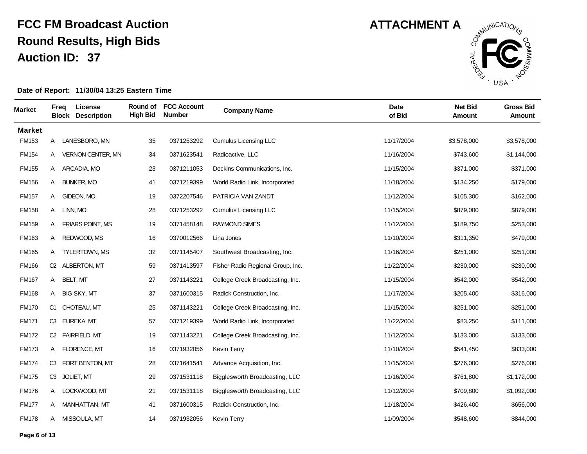

| <b>Market</b> | Freg | License<br><b>Block Description</b> | Round of<br><b>High Bid</b> | <b>FCC Account</b><br><b>Number</b> | <b>Company Name</b>               | <b>Date</b><br>of Bid | <b>Net Bid</b><br>Amount | <b>Gross Bid</b><br><b>Amount</b> |
|---------------|------|-------------------------------------|-----------------------------|-------------------------------------|-----------------------------------|-----------------------|--------------------------|-----------------------------------|
| <b>Market</b> |      |                                     |                             |                                     |                                   |                       |                          |                                   |
| FM153         |      | A LANESBORO, MN                     | 35                          | 0371253292                          | <b>Cumulus Licensing LLC</b>      | 11/17/2004            | \$3,578,000              | \$3,578,000                       |
| <b>FM154</b>  | A    | <b>VERNON CENTER, MN</b>            | 34                          | 0371623541                          | Radioactive, LLC                  | 11/16/2004            | \$743,600                | \$1,144,000                       |
| <b>FM155</b>  | A    | ARCADIA, MO                         | 23                          | 0371211053                          | Dockins Communications, Inc.      | 11/15/2004            | \$371,000                | \$371,000                         |
| <b>FM156</b>  | A    | <b>BUNKER, MO</b>                   | 41                          | 0371219399                          | World Radio Link, Incorporated    | 11/18/2004            | \$134,250                | \$179,000                         |
| <b>FM157</b>  | A    | GIDEON, MO                          | 19                          | 0372207546                          | PATRICIA VAN ZANDT                | 11/12/2004            | \$105,300                | \$162,000                         |
| <b>FM158</b>  |      | A LINN, MO                          | 28                          | 0371253292                          | Cumulus Licensing LLC             | 11/15/2004            | \$879,000                | \$879,000                         |
| <b>FM159</b>  | A    | <b>FRIARS POINT, MS</b>             | 19                          | 0371458148                          | <b>RAYMOND SIMES</b>              | 11/12/2004            | \$189,750                | \$253,000                         |
| <b>FM163</b>  | A    | REDWOOD, MS                         | 16                          | 0370012566                          | Lina Jones                        | 11/10/2004            | \$311,350                | \$479,000                         |
| <b>FM165</b>  | A    | TYLERTOWN, MS                       | 32                          | 0371145407                          | Southwest Broadcasting, Inc.      | 11/16/2004            | \$251,000                | \$251,000                         |
| <b>FM166</b>  |      | C2 ALBERTON, MT                     | 59                          | 0371413597                          | Fisher Radio Regional Group, Inc. | 11/22/2004            | \$230,000                | \$230,000                         |
| <b>FM167</b>  |      | A BELT, MT                          | 27                          | 0371143221                          | College Creek Broadcasting, Inc.  | 11/15/2004            | \$542,000                | \$542,000                         |
| <b>FM168</b>  | A    | <b>BIG SKY, MT</b>                  | 37                          | 0371600315                          | Radick Construction, Inc.         | 11/17/2004            | \$205,400                | \$316,000                         |
| <b>FM170</b>  | C1   | CHOTEAU, MT                         | 25                          | 0371143221                          | College Creek Broadcasting, Inc.  | 11/15/2004            | \$251,000                | \$251,000                         |
| <b>FM171</b>  |      | C3 EUREKA, MT                       | 57                          | 0371219399                          | World Radio Link, Incorporated    | 11/22/2004            | \$83,250                 | \$111,000                         |
| <b>FM172</b>  |      | C2 FAIRFIELD, MT                    | 19                          | 0371143221                          | College Creek Broadcasting, Inc.  | 11/12/2004            | \$133,000                | \$133,000                         |
| <b>FM173</b>  |      | A FLORENCE, MT                      | 16                          | 0371932056                          | <b>Kevin Terry</b>                | 11/10/2004            | \$541,450                | \$833,000                         |
| <b>FM174</b>  |      | C3 FORT BENTON, MT                  | 28                          | 0371641541                          | Advance Acquisition, Inc.         | 11/15/2004            | \$276,000                | \$276,000                         |
| <b>FM175</b>  | CЗ   | JOLIET, MT                          | 29                          | 0371531118                          | Bigglesworth Broadcasting, LLC    | 11/16/2004            | \$761,800                | \$1,172,000                       |
| <b>FM176</b>  |      | A LOCKWOOD, MT                      | 21                          | 0371531118                          | Bigglesworth Broadcasting, LLC    | 11/12/2004            | \$709,800                | \$1,092,000                       |
| <b>FM177</b>  | A    | MANHATTAN, MT                       | 41                          | 0371600315                          | Radick Construction, Inc.         | 11/18/2004            | \$426,400                | \$656,000                         |
| <b>FM178</b>  |      | A MISSOULA, MT                      | 14                          | 0371932056                          | <b>Kevin Terry</b>                | 11/09/2004            | \$548,600                | \$844,000                         |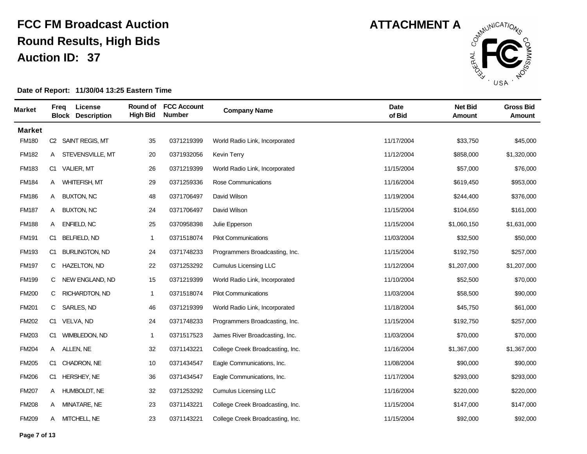

| <b>Market</b> | Freq | License<br><b>Block Description</b> | Round of<br><b>High Bid</b> | <b>FCC Account</b><br><b>Number</b> | <b>Company Name</b>              | <b>Date</b><br>of Bid | <b>Net Bid</b><br>Amount | <b>Gross Bid</b><br><b>Amount</b> |
|---------------|------|-------------------------------------|-----------------------------|-------------------------------------|----------------------------------|-----------------------|--------------------------|-----------------------------------|
| <b>Market</b> |      |                                     |                             |                                     |                                  |                       |                          |                                   |
| <b>FM180</b>  |      | C2 SAINT REGIS, MT                  | 35                          | 0371219399                          | World Radio Link, Incorporated   | 11/17/2004            | \$33,750                 | \$45,000                          |
| FM182         | A    | STEVENSVILLE, MT                    | 20                          | 0371932056                          | <b>Kevin Terry</b>               | 11/12/2004            | \$858,000                | \$1,320,000                       |
| <b>FM183</b>  | C1   | <b>VALIER, MT</b>                   | 26                          | 0371219399                          | World Radio Link, Incorporated   | 11/15/2004            | \$57,000                 | \$76,000                          |
| <b>FM184</b>  | A    | <b>WHITEFISH, MT</b>                | 29                          | 0371259336                          | Rose Communications              | 11/16/2004            | \$619,450                | \$953,000                         |
| <b>FM186</b>  | A    | <b>BUXTON, NC</b>                   | 48                          | 0371706497                          | David Wilson                     | 11/19/2004            | \$244,400                | \$376,000                         |
| <b>FM187</b>  |      | A BUXTON, NC                        | 24                          | 0371706497                          | David Wilson                     | 11/15/2004            | \$104,650                | \$161,000                         |
| <b>FM188</b>  | A    | <b>ENFIELD, NC</b>                  | 25                          | 0370958398                          | Julie Epperson                   | 11/15/2004            | \$1,060,150              | \$1,631,000                       |
| <b>FM191</b>  | C1   | <b>BELFIELD, ND</b>                 | 1                           | 0371518074                          | <b>Pilot Communications</b>      | 11/03/2004            | \$32,500                 | \$50,000                          |
| <b>FM193</b>  | C1   | <b>BURLINGTON, ND</b>               | 24                          | 0371748233                          | Programmers Broadcasting, Inc.   | 11/15/2004            | \$192,750                | \$257,000                         |
| <b>FM197</b>  | C    | <b>HAZELTON, ND</b>                 | 22                          | 0371253292                          | <b>Cumulus Licensing LLC</b>     | 11/12/2004            | \$1,207,000              | \$1,207,000                       |
| <b>FM199</b>  | C.   | NEW ENGLAND, ND                     | 15                          | 0371219399                          | World Radio Link, Incorporated   | 11/10/2004            | \$52,500                 | \$70,000                          |
| <b>FM200</b>  | C.   | <b>RICHARDTON, ND</b>               | $\mathbf{1}$                | 0371518074                          | <b>Pilot Communications</b>      | 11/03/2004            | \$58,500                 | \$90,000                          |
| <b>FM201</b>  | C.   | <b>SARLES, ND</b>                   | 46                          | 0371219399                          | World Radio Link, Incorporated   | 11/18/2004            | \$45,750                 | \$61,000                          |
| <b>FM202</b>  |      | C1 VELVA, ND                        | 24                          | 0371748233                          | Programmers Broadcasting, Inc.   | 11/15/2004            | \$192,750                | \$257,000                         |
| <b>FM203</b>  | C1.  | WIMBLEDON, ND                       | 1                           | 0371517523                          | James River Broadcasting, Inc.   | 11/03/2004            | \$70,000                 | \$70,000                          |
| <b>FM204</b>  |      | A ALLEN, NE                         | 32                          | 0371143221                          | College Creek Broadcasting, Inc. | 11/16/2004            | \$1,367,000              | \$1,367,000                       |
| <b>FM205</b>  |      | C1 CHADRON, NE                      | 10                          | 0371434547                          | Eagle Communications, Inc.       | 11/08/2004            | \$90,000                 | \$90,000                          |
| <b>FM206</b>  | C1   | HERSHEY, NE                         | 36                          | 0371434547                          | Eagle Communications, Inc.       | 11/17/2004            | \$293,000                | \$293,000                         |
| <b>FM207</b>  | A    | HUMBOLDT, NE                        | 32                          | 0371253292                          | <b>Cumulus Licensing LLC</b>     | 11/16/2004            | \$220,000                | \$220,000                         |
| <b>FM208</b>  | A    | MINATARE, NE                        | 23                          | 0371143221                          | College Creek Broadcasting, Inc. | 11/15/2004            | \$147,000                | \$147,000                         |
| <b>FM209</b>  |      | A MITCHELL, NE                      | 23                          | 0371143221                          | College Creek Broadcasting, Inc. | 11/15/2004            | \$92,000                 | \$92,000                          |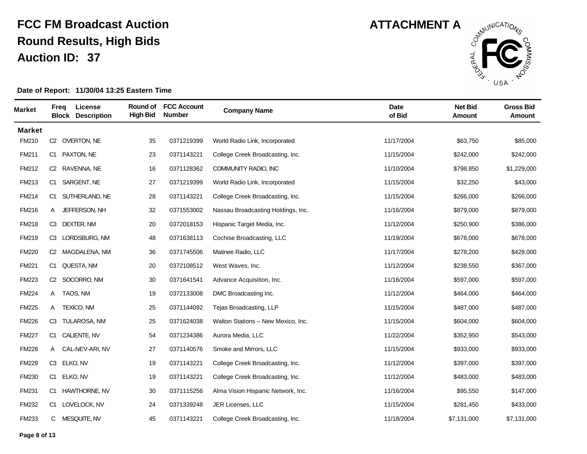

| <b>Market</b> | Freq           | License<br><b>Block Description</b> | Round of<br><b>High Bid</b> | <b>FCC Account</b><br><b>Number</b> | <b>Company Name</b>                | <b>Date</b><br>of Bid | <b>Net Bid</b><br><b>Amount</b> | <b>Gross Bid</b><br>Amount |
|---------------|----------------|-------------------------------------|-----------------------------|-------------------------------------|------------------------------------|-----------------------|---------------------------------|----------------------------|
| <b>Market</b> |                |                                     |                             |                                     |                                    |                       |                                 |                            |
| FM210         |                | C2 OVERTON, NE                      | 35                          | 0371219399                          | World Radio Link, Incorporated     | 11/17/2004            | \$63,750                        | \$85,000                   |
| FM211         |                | C1 PAXTON, NE                       | 23                          | 0371143221                          | College Creek Broadcasting, Inc.   | 11/15/2004            | \$242,000                       | \$242,000                  |
| FM212         | C2             | RAVENNA, NE                         | 16                          | 0371128362                          | COMMUNITY RADIO, INC               | 11/10/2004            | \$798,850                       | \$1,229,000                |
| <b>FM213</b>  | C1.            | SARGENT, NE                         | 27                          | 0371219399                          | World Radio Link, Incorporated     | 11/15/2004            | \$32,250                        | \$43,000                   |
| FM214         | C <sub>1</sub> | SUTHERLAND, NE                      | 28                          | 0371143221                          | College Creek Broadcasting, Inc.   | 11/15/2004            | \$266,000                       | \$266,000                  |
| <b>FM216</b>  |                | A JEFFERSON, NH                     | 32                          | 0371553002                          | Nassau Broadcasting Holdings, Inc. | 11/16/2004            | \$879,000                       | \$879,000                  |
| FM218         | C3             | <b>DEXTER, NM</b>                   | 20                          | 0372018153                          | Hispanic Target Media, Inc.        | 11/12/2004            | \$250,900                       | \$386,000                  |
| FM219         | CЗ             | LORDSBURG, NM                       | 48                          | 0371638113                          | Cochise Broadcasting, LLC          | 11/19/2004            | \$678,000                       | \$678,000                  |
| <b>FM220</b>  |                | C2 MAGDALENA, NM                    | 36                          | 0371745506                          | Matinee Radio, LLC                 | 11/17/2004            | \$278,200                       | \$428,000                  |
| <b>FM221</b>  |                | C1 QUESTA, NM                       | 20                          | 0372108512                          | West Waves, Inc.                   | 11/12/2004            | \$238,550                       | \$367,000                  |
| <b>FM223</b>  |                | C <sub>2</sub> SOCORRO, NM          | 30                          | 0371641541                          | Advance Acquisition, Inc.          | 11/16/2004            | \$597,000                       | \$597,000                  |
| <b>FM224</b>  | A              | TAOS, NM                            | 19                          | 0372133008                          | DMC Broadcasting Inc.              | 11/12/2004            | \$464,000                       | \$464,000                  |
| <b>FM225</b>  | A              | TEXICO, NM                          | 25                          | 0371144092                          | Tejas Broadcasting, LLP            | 11/15/2004            | \$487,000                       | \$487,000                  |
| <b>FM226</b>  |                | C3 TULAROSA, NM                     | 25                          | 0371624038                          | Walton Stations - New Mexico, Inc. | 11/15/2004            | \$604,000                       | \$604,000                  |
| <b>FM227</b>  |                | C1 CALIENTE, NV                     | 54                          | 0371234386                          | Aurora Media, LLC                  | 11/22/2004            | \$352,950                       | \$543,000                  |
| <b>FM228</b>  |                | A CAL-NEV-ARI, NV                   | 27                          | 0371140576                          | Smoke and Mirrors, LLC             | 11/15/2004            | \$933,000                       | \$933,000                  |
| <b>FM229</b>  | C3 ELKO, NV    |                                     | 19                          | 0371143221                          | College Creek Broadcasting, Inc.   | 11/12/2004            | \$397,000                       | \$397,000                  |
| <b>FM230</b>  | C1             | ELKO, NV                            | 19                          | 0371143221                          | College Creek Broadcasting, Inc.   | 11/12/2004            | \$483,000                       | \$483,000                  |
| <b>FM231</b>  | C1             | <b>HAWTHORNE, NV</b>                | 30                          | 0371115256                          | Alma Vision Hispanic Network, Inc. | 11/16/2004            | \$95,550                        | \$147,000                  |
| <b>FM232</b>  | C1             | LOVELOCK, NV                        | 24                          | 0371339248                          | JER Licenses, LLC                  | 11/15/2004            | \$281,450                       | \$433,000                  |
| FM233         | C              | MESQUITE, NV                        | 45                          | 0371143221                          | College Creek Broadcasting, Inc.   | 11/18/2004            | \$7,131,000                     | \$7,131,000                |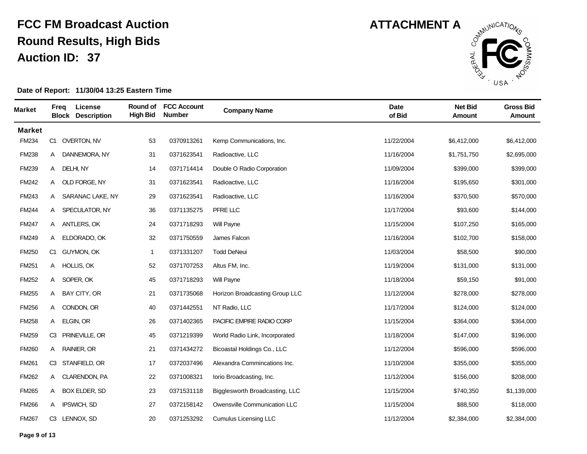

| <b>Market</b> | Freg           | License<br><b>Block Description</b> | <b>High Bid</b> | Round of FCC Account<br><b>Number</b> | <b>Company Name</b>            | <b>Date</b><br>of Bid | <b>Net Bid</b><br>Amount | <b>Gross Bid</b><br><b>Amount</b> |
|---------------|----------------|-------------------------------------|-----------------|---------------------------------------|--------------------------------|-----------------------|--------------------------|-----------------------------------|
| <b>Market</b> |                |                                     |                 |                                       |                                |                       |                          |                                   |
| <b>FM234</b>  |                | C1 OVERTON, NV                      | 53              | 0370913261                            | Kemp Communications, Inc.      | 11/22/2004            | \$6,412,000              | \$6,412,000                       |
| <b>FM238</b>  | A              | DANNEMORA, NY                       | 31              | 0371623541                            | Radioactive, LLC               | 11/16/2004            | \$1,751,750              | \$2,695,000                       |
| <b>FM239</b>  | A              | DELHI, NY                           | 14              | 0371714414                            | Double O Radio Corporation     | 11/09/2004            | \$399,000                | \$399,000                         |
| <b>FM242</b>  | A              | OLD FORGE, NY                       | 31              | 0371623541                            | Radioactive, LLC               | 11/16/2004            | \$195,650                | \$301,000                         |
| <b>FM243</b>  | A              | SARANAC LAKE, NY                    | 29              | 0371623541                            | Radioactive, LLC               | 11/16/2004            | \$370,500                | \$570,000                         |
| <b>FM244</b>  |                | A SPECULATOR, NY                    | 36              | 0371135275                            | PFRE LLC                       | 11/17/2004            | \$93,600                 | \$144,000                         |
| <b>FM247</b>  | A              | ANTLERS, OK                         | 24              | 0371718293                            | Will Payne                     | 11/15/2004            | \$107,250                | \$165,000                         |
| <b>FM249</b>  | A              | ELDORADO, OK                        | 32              | 0371750559                            | James Falcon                   | 11/16/2004            | \$102,700                | \$158,000                         |
| <b>FM250</b>  |                | C1 GUYMON, OK                       | $\mathbf{1}$    | 0371331207                            | <b>Todd DeNeui</b>             | 11/03/2004            | \$58,500                 | \$90,000                          |
| <b>FM251</b>  |                | A HOLLIS, OK                        | 52              | 0371707253                            | Altus FM, Inc.                 | 11/19/2004            | \$131,000                | \$131,000                         |
| <b>FM252</b>  |                | A SOPER, OK                         | 45              | 0371718293                            | Will Payne                     | 11/18/2004            | \$59,150                 | \$91,000                          |
| <b>FM255</b>  | A              | BAY CITY, OR                        | 21              | 0371735068                            | Horizon Broadcasting Group LLC | 11/12/2004            | \$278,000                | \$278,000                         |
| <b>FM256</b>  | A              | CONDON, OR                          | 40              | 0371442551                            | NT Radio, LLC                  | 11/17/2004            | \$124,000                | \$124,000                         |
| <b>FM258</b>  | A              | ELGIN, OR                           | 26              | 0371402365                            | PACIFIC EMPIRE RADIO CORP      | 11/15/2004            | \$364,000                | \$364,000                         |
| <b>FM259</b>  | CЗ             | PRINEVILLE, OR                      | 45              | 0371219399                            | World Radio Link, Incorporated | 11/18/2004            | \$147,000                | \$196,000                         |
| <b>FM260</b>  | A              | RAINIER, OR                         | 21              | 0371434272                            | Bicoastal Holdings Co., LLC    | 11/12/2004            | \$596,000                | \$596,000                         |
| <b>FM261</b>  | C <sub>3</sub> | STANFIELD, OR                       | 17              | 0372037496                            | Alexandra Commincations Inc.   | 11/10/2004            | \$355,000                | \$355,000                         |
| <b>FM262</b>  | A              | <b>CLARENDON, PA</b>                | 22              | 0371008321                            | lorio Broadcasting, Inc.       | 11/12/2004            | \$156,000                | \$208,000                         |
| <b>FM265</b>  | A              | BOX ELDER, SD                       | 23              | 0371531118                            | Bigglesworth Broadcasting, LLC | 11/15/2004            | \$740,350                | \$1,139,000                       |
| <b>FM266</b>  | A              | IPSWICH, SD                         | 27              | 0372158142                            | Owensville Communication LLC   | 11/15/2004            | \$88,500                 | \$118,000                         |
| <b>FM267</b>  |                | C3 LENNOX, SD                       | 20              | 0371253292                            | <b>Cumulus Licensing LLC</b>   | 11/12/2004            | \$2,384,000              | \$2,384,000                       |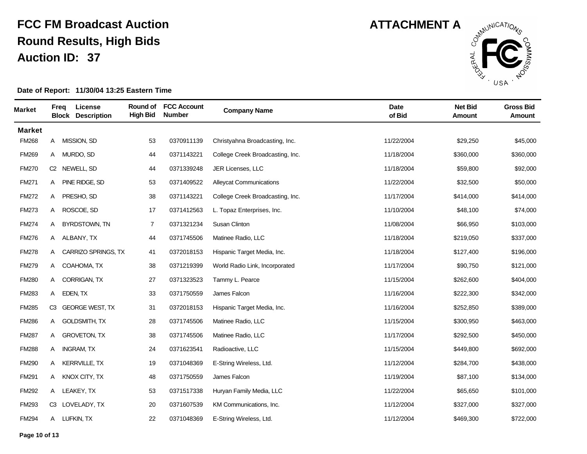

| <b>Market</b> | Freg | License<br><b>Block Description</b> | Round of<br><b>High Bid</b> | <b>FCC Account</b><br><b>Number</b> | <b>Company Name</b>              | <b>Date</b><br>of Bid | <b>Net Bid</b><br>Amount | <b>Gross Bid</b><br><b>Amount</b> |
|---------------|------|-------------------------------------|-----------------------------|-------------------------------------|----------------------------------|-----------------------|--------------------------|-----------------------------------|
| <b>Market</b> |      |                                     |                             |                                     |                                  |                       |                          |                                   |
| <b>FM268</b>  |      | A MISSION, SD                       | 53                          | 0370911139                          | Christyahna Broadcasting, Inc.   | 11/22/2004            | \$29,250                 | \$45,000                          |
| <b>FM269</b>  | A    | MURDO, SD                           | 44                          | 0371143221                          | College Creek Broadcasting, Inc. | 11/18/2004            | \$360,000                | \$360,000                         |
| <b>FM270</b>  | C2   | NEWELL, SD                          | 44                          | 0371339248                          | JER Licenses, LLC                | 11/18/2004            | \$59,800                 | \$92,000                          |
| <b>FM271</b>  | A    | PINE RIDGE, SD                      | 53                          | 0371409522                          | <b>Alleycat Communications</b>   | 11/22/2004            | \$32,500                 | \$50,000                          |
| <b>FM272</b>  | A    | PRESHO, SD                          | 38                          | 0371143221                          | College Creek Broadcasting, Inc. | 11/17/2004            | \$414,000                | \$414,000                         |
| <b>FM273</b>  | A    | ROSCOE, SD                          | 17                          | 0371412563                          | L. Topaz Enterprises, Inc.       | 11/10/2004            | \$48,100                 | \$74,000                          |
| <b>FM274</b>  | A    | <b>BYRDSTOWN, TN</b>                | $\overline{7}$              | 0371321234                          | Susan Clinton                    | 11/08/2004            | \$66,950                 | \$103,000                         |
| <b>FM276</b>  | A    | ALBANY, TX                          | 44                          | 0371745506                          | Matinee Radio, LLC               | 11/18/2004            | \$219,050                | \$337,000                         |
| <b>FM278</b>  | A    | CARRIZO SPRINGS, TX                 | 41                          | 0372018153                          | Hispanic Target Media, Inc.      | 11/18/2004            | \$127,400                | \$196,000                         |
| <b>FM279</b>  |      | A COAHOMA, TX                       | 38                          | 0371219399                          | World Radio Link, Incorporated   | 11/17/2004            | \$90,750                 | \$121,000                         |
| <b>FM280</b>  |      | A CORRIGAN, TX                      | 27                          | 0371323523                          | Tammy L. Pearce                  | 11/15/2004            | \$262,600                | \$404,000                         |
| <b>FM283</b>  | A    | EDEN, TX                            | 33                          | 0371750559                          | James Falcon                     | 11/16/2004            | \$222,300                | \$342,000                         |
| FM285         | C3   | <b>GEORGE WEST, TX</b>              | 31                          | 0372018153                          | Hispanic Target Media, Inc.      | 11/16/2004            | \$252,850                | \$389,000                         |
| <b>FM286</b>  | A    | <b>GOLDSMITH, TX</b>                | 28                          | 0371745506                          | Matinee Radio, LLC               | 11/15/2004            | \$300,950                | \$463,000                         |
| <b>FM287</b>  | A    | <b>GROVETON, TX</b>                 | $38\,$                      | 0371745506                          | Matinee Radio, LLC               | 11/17/2004            | \$292,500                | \$450,000                         |
| <b>FM288</b>  | A    | <b>INGRAM, TX</b>                   | 24                          | 0371623541                          | Radioactive, LLC                 | 11/15/2004            | \$449,800                | \$692,000                         |
| <b>FM290</b>  | A    | <b>KERRVILLE, TX</b>                | 19                          | 0371048369                          | E-String Wireless, Ltd.          | 11/12/2004            | \$284,700                | \$438,000                         |
| <b>FM291</b>  | A    | KNOX CITY, TX                       | 48                          | 0371750559                          | James Falcon                     | 11/19/2004            | \$87,100                 | \$134,000                         |
| <b>FM292</b>  | A    | LEAKEY, TX                          | 53                          | 0371517338                          | Huryan Family Media, LLC         | 11/22/2004            | \$65,650                 | \$101,000                         |
| <b>FM293</b>  |      | C3 LOVELADY, TX                     | 20                          | 0371607539                          | KM Communications, Inc.          | 11/12/2004            | \$327,000                | \$327,000                         |
| <b>FM294</b>  |      | A LUFKIN, TX                        | 22                          | 0371048369                          | E-String Wireless, Ltd.          | 11/12/2004            | \$469,300                | \$722,000                         |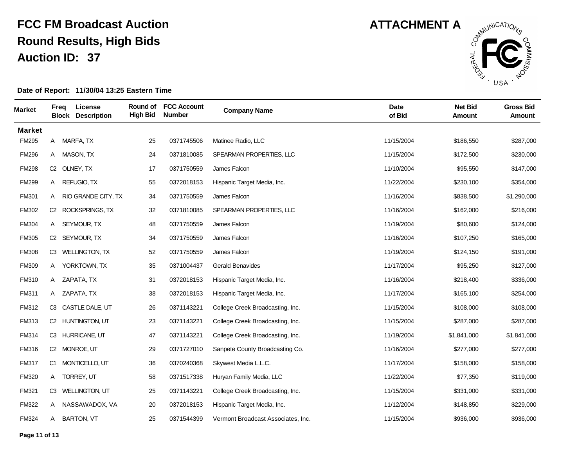

| <b>Market</b> | Freg           | License<br><b>Block Description</b> | Round of<br><b>High Bid</b> | <b>FCC Account</b><br><b>Number</b> | <b>Company Name</b>                | <b>Date</b><br>of Bid | <b>Net Bid</b><br>Amount | <b>Gross Bid</b><br><b>Amount</b> |
|---------------|----------------|-------------------------------------|-----------------------------|-------------------------------------|------------------------------------|-----------------------|--------------------------|-----------------------------------|
| <b>Market</b> |                |                                     |                             |                                     |                                    |                       |                          |                                   |
| <b>FM295</b>  |                | A MARFA, TX                         | 25                          | 0371745506                          | Matinee Radio, LLC                 | 11/15/2004            | \$186,550                | \$287,000                         |
| <b>FM296</b>  | A              | <b>MASON, TX</b>                    | 24                          | 0371810085                          | SPEARMAN PROPERTIES, LLC           | 11/15/2004            | \$172,500                | \$230,000                         |
| <b>FM298</b>  |                | C2 OLNEY, TX                        | 17                          | 0371750559                          | James Falcon                       | 11/10/2004            | \$95,550                 | \$147,000                         |
| <b>FM299</b>  | A              | REFUGIO, TX                         | 55                          | 0372018153                          | Hispanic Target Media, Inc.        | 11/22/2004            | \$230,100                | \$354,000                         |
| <b>FM301</b>  | A              | RIO GRANDE CITY, TX                 | 34                          | 0371750559                          | James Falcon                       | 11/16/2004            | \$838,500                | \$1,290,000                       |
| <b>FM302</b>  |                | C2 ROCKSPRINGS, TX                  | 32                          | 0371810085                          | SPEARMAN PROPERTIES, LLC           | 11/16/2004            | \$162,000                | \$216,000                         |
| <b>FM304</b>  | A              | SEYMOUR, TX                         | 48                          | 0371750559                          | James Falcon                       | 11/19/2004            | \$80,600                 | \$124,000                         |
| <b>FM305</b>  | C2             | SEYMOUR, TX                         | 34                          | 0371750559                          | James Falcon                       | 11/16/2004            | \$107,250                | \$165,000                         |
| <b>FM308</b>  |                | C3 WELLINGTON, TX                   | 52                          | 0371750559                          | James Falcon                       | 11/19/2004            | \$124,150                | \$191,000                         |
| FM309         | A              | YORKTOWN, TX                        | 35                          | 0371004437                          | <b>Gerald Benavides</b>            | 11/17/2004            | \$95,250                 | \$127,000                         |
| <b>FM310</b>  |                | A ZAPATA, TX                        | 31                          | 0372018153                          | Hispanic Target Media, Inc.        | 11/16/2004            | \$218,400                | \$336,000                         |
| <b>FM311</b>  |                | A ZAPATA, TX                        | 38                          | 0372018153                          | Hispanic Target Media, Inc.        | 11/17/2004            | \$165,100                | \$254,000                         |
| <b>FM312</b>  | C <sub>3</sub> | CASTLE DALE, UT                     | 26                          | 0371143221                          | College Creek Broadcasting, Inc.   | 11/15/2004            | \$108,000                | \$108,000                         |
| FM313         |                | C2 HUNTINGTON, UT                   | 23                          | 0371143221                          | College Creek Broadcasting, Inc.   | 11/15/2004            | \$287,000                | \$287,000                         |
| <b>FM314</b>  |                | C3 HURRICANE, UT                    | 47                          | 0371143221                          | College Creek Broadcasting, Inc.   | 11/19/2004            | \$1,841,000              | \$1,841,000                       |
| <b>FM316</b>  |                | C2 MONROE, UT                       | 29                          | 0371727010                          | Sanpete County Broadcasting Co.    | 11/16/2004            | \$277,000                | \$277,000                         |
| <b>FM317</b>  |                | C1 MONTICELLO, UT                   | 36                          | 0370240368                          | Skywest Media L.L.C.               | 11/17/2004            | \$158,000                | \$158,000                         |
| <b>FM320</b>  | A              | TORREY, UT                          | 58                          | 0371517338                          | Huryan Family Media, LLC           | 11/22/2004            | \$77,350                 | \$119,000                         |
| <b>FM321</b>  | CЗ             | <b>WELLINGTON, UT</b>               | 25                          | 0371143221                          | College Creek Broadcasting, Inc.   | 11/15/2004            | \$331,000                | \$331,000                         |
| <b>FM322</b>  | A              | NASSAWADOX, VA                      | 20                          | 0372018153                          | Hispanic Target Media, Inc.        | 11/12/2004            | \$148,850                | \$229,000                         |
| FM324         | A              | <b>BARTON, VT</b>                   | 25                          | 0371544399                          | Vermont Broadcast Associates, Inc. | 11/15/2004            | \$936,000                | \$936,000                         |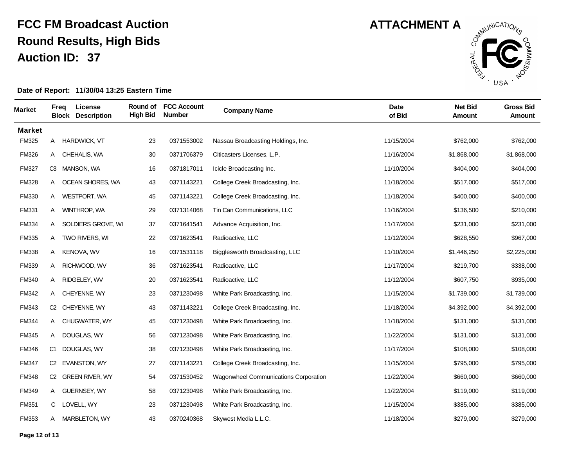

| <b>Market</b> | Freg | License<br><b>Block Description</b> | Round of<br><b>High Bid</b> | <b>FCC Account</b><br><b>Number</b> | <b>Company Name</b>                   | Date<br>of Bid | <b>Net Bid</b><br>Amount | <b>Gross Bid</b><br><b>Amount</b> |
|---------------|------|-------------------------------------|-----------------------------|-------------------------------------|---------------------------------------|----------------|--------------------------|-----------------------------------|
| <b>Market</b> |      |                                     |                             |                                     |                                       |                |                          |                                   |
| <b>FM325</b>  |      | A HARDWICK, VT                      | 23                          | 0371553002                          | Nassau Broadcasting Holdings, Inc.    | 11/15/2004     | \$762,000                | \$762,000                         |
| <b>FM326</b>  | A    | CHEHALIS, WA                        | 30                          | 0371706379                          | Citicasters Licenses, L.P.            | 11/16/2004     | \$1,868,000              | \$1,868,000                       |
| <b>FM327</b>  |      | C3 MANSON, WA                       | 16                          | 0371817011                          | Icicle Broadcasting Inc.              | 11/10/2004     | \$404,000                | \$404,000                         |
| <b>FM328</b>  |      | A OCEAN SHORES, WA                  | 43                          | 0371143221                          | College Creek Broadcasting, Inc.      | 11/18/2004     | \$517,000                | \$517,000                         |
| <b>FM330</b>  | A    | WESTPORT, WA                        | 45                          | 0371143221                          | College Creek Broadcasting, Inc.      | 11/18/2004     | \$400,000                | \$400,000                         |
| <b>FM331</b>  | A    | WINTHROP, WA                        | 29                          | 0371314068                          | Tin Can Communications, LLC           | 11/16/2004     | \$136,500                | \$210,000                         |
| <b>FM334</b>  | A    | SOLDIERS GROVE, WI                  | 37                          | 0371641541                          | Advance Acquisition, Inc.             | 11/17/2004     | \$231,000                | \$231,000                         |
| <b>FM335</b>  | A    | TWO RIVERS, WI                      | 22                          | 0371623541                          | Radioactive, LLC                      | 11/12/2004     | \$628,550                | \$967,000                         |
| <b>FM338</b>  | A    | <b>KENOVA, WV</b>                   | 16                          | 0371531118                          | Bigglesworth Broadcasting, LLC        | 11/10/2004     | \$1,446,250              | \$2,225,000                       |
| <b>FM339</b>  | A    | RICHWOOD, WV                        | 36                          | 0371623541                          | Radioactive, LLC                      | 11/17/2004     | \$219,700                | \$338,000                         |
| <b>FM340</b>  |      | A RIDGELEY, WV                      | 20                          | 0371623541                          | Radioactive, LLC                      | 11/12/2004     | \$607,750                | \$935,000                         |
| <b>FM342</b>  | A    | <b>CHEYENNE, WY</b>                 | 23                          | 0371230498                          | White Park Broadcasting, Inc.         | 11/15/2004     | \$1,739,000              | \$1,739,000                       |
| <b>FM343</b>  |      | C2 CHEYENNE, WY                     | 43                          | 0371143221                          | College Creek Broadcasting, Inc.      | 11/18/2004     | \$4,392,000              | \$4,392,000                       |
| <b>FM344</b>  |      | A CHUGWATER, WY                     | 45                          | 0371230498                          | White Park Broadcasting, Inc.         | 11/18/2004     | \$131,000                | \$131,000                         |
| <b>FM345</b>  | A    | DOUGLAS, WY                         | 56                          | 0371230498                          | White Park Broadcasting, Inc.         | 11/22/2004     | \$131,000                | \$131,000                         |
| <b>FM346</b>  |      | C1 DOUGLAS, WY                      | $38\,$                      | 0371230498                          | White Park Broadcasting, Inc.         | 11/17/2004     | \$108,000                | \$108,000                         |
| <b>FM347</b>  |      | C2 EVANSTON, WY                     | 27                          | 0371143221                          | College Creek Broadcasting, Inc.      | 11/15/2004     | \$795,000                | \$795,000                         |
| <b>FM348</b>  | C2   | <b>GREEN RIVER, WY</b>              | 54                          | 0371530452                          | Wagonwheel Communications Corporation | 11/22/2004     | \$660,000                | \$660,000                         |
| <b>FM349</b>  | A    | <b>GUERNSEY, WY</b>                 | 58                          | 0371230498                          | White Park Broadcasting, Inc.         | 11/22/2004     | \$119,000                | \$119,000                         |
| <b>FM351</b>  | C.   | LOVELL, WY                          | 23                          | 0371230498                          | White Park Broadcasting, Inc.         | 11/15/2004     | \$385,000                | \$385,000                         |
| FM353         | A    | <b>MARBLETON, WY</b>                | 43                          | 0370240368                          | Skywest Media L.L.C.                  | 11/18/2004     | \$279,000                | \$279,000                         |